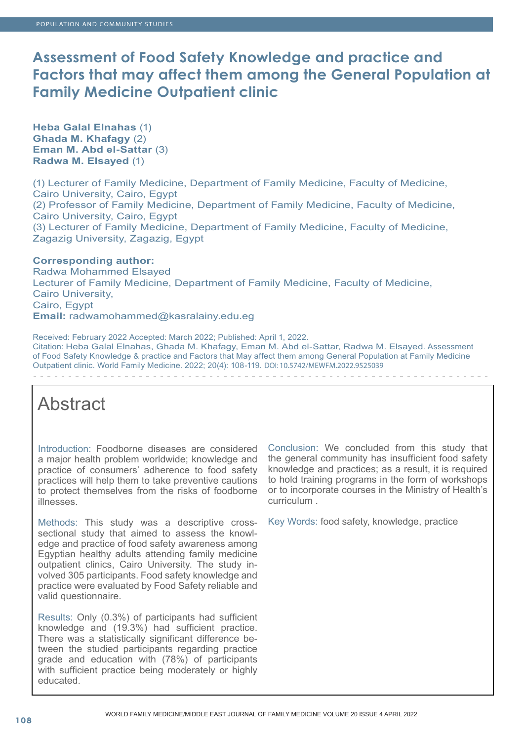# **Assessment of Food Safety Knowledge and practice and Factors that may affect them among the General Population at Family Medicine Outpatient clinic**

**Heba Galal Elnahas** (1) **Ghada M. Khafagy** (2) **Eman M. Abd el-Sattar** (3) **Radwa M. Elsayed** (1)

(1) Lecturer of Family Medicine, Department of Family Medicine, Faculty of Medicine, Cairo University, Cairo, Egypt (2) Professor of Family Medicine, Department of Family Medicine, Faculty of Medicine, Cairo University, Cairo, Egypt (3) Lecturer of Family Medicine, Department of Family Medicine, Faculty of Medicine, Zagazig University, Zagazig, Egypt

# **Corresponding author:**

Radwa Mohammed Elsayed Lecturer of Family Medicine, Department of Family Medicine, Faculty of Medicine, Cairo University, Cairo, Egypt **Email:** radwamohammed@kasralainy.edu.eg

Received: February 2022 Accepted: March 2022; Published: April 1, 2022. Citation: Heba Galal Elnahas, Ghada M. Khafagy, Eman M. Abd el-Sattar, Radwa M. Elsayed. Assessment of Food Safety Knowledge & practice and Factors that May affect them among General Population at Family Medicine Outpatient clinic. World Family Medicine. 2022; 20(4): 108-119. DOI: 10.5742/MEWFM.2022.9525039

# Abstract

Introduction: Foodborne diseases are considered a major health problem worldwide; knowledge and practice of consumers' adherence to food safety practices will help them to take preventive cautions to protect themselves from the risks of foodborne illnesses.

Methods: This study was a descriptive crosssectional study that aimed to assess the knowledge and practice of food safety awareness among Egyptian healthy adults attending family medicine outpatient clinics, Cairo University. The study involved 305 participants. Food safety knowledge and practice were evaluated by Food Safety reliable and valid questionnaire.

Results: Only (0.3%) of participants had sufficient knowledge and (19.3%) had sufficient practice. There was a statistically significant difference between the studied participants regarding practice grade and education with (78%) of participants with sufficient practice being moderately or highly educated.

Conclusion: We concluded from this study that the general community has insufficient food safety knowledge and practices; as a result, it is required to hold training programs in the form of workshops or to incorporate courses in the Ministry of Health's curriculum .

Key Words: food safety, knowledge, practice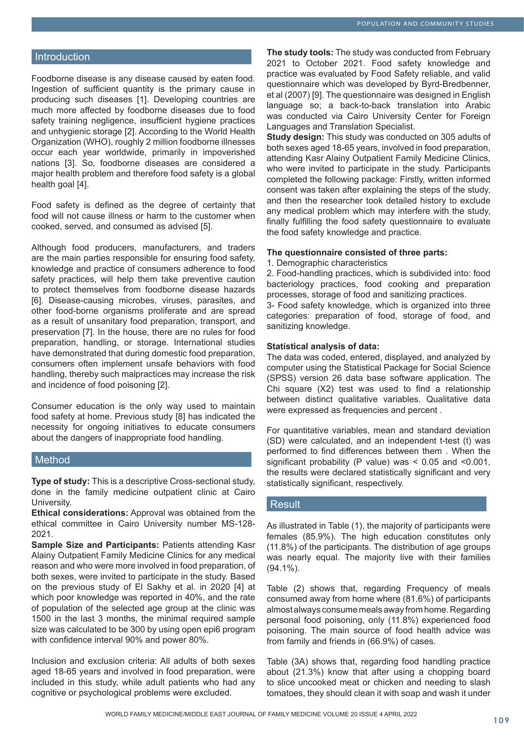## **Introduction**

Foodborne disease is any disease caused by eaten food. Ingestion of sufficient quantity is the primary cause in producing such diseases [1]. Developing countries are much more affected by foodborne diseases due to food safety training negligence, insufficient hygiene practices and unhygienic storage [2]. According to the World Health Organization (WHO), roughly 2 million foodborne illnesses occur each year worldwide, primarily in impoverished nations [3]. So, foodborne diseases are considered a major health problem and therefore food safety is a global health goal [4].

Food safety is defined as the degree of certainty that food will not cause illness or harm to the customer when cooked, served, and consumed as advised [5].

Although food producers, manufacturers, and traders are the main parties responsible for ensuring food safety, knowledge and practice of consumers adherence to food safety practices, will help them take preventive caution to protect themselves from foodborne disease hazards [6]. Disease-causing microbes, viruses, parasites, and other food-borne organisms proliferate and are spread as a result of unsanitary food preparation, transport, and preservation [7]. In the house, there are no rules for food preparation, handling, or storage. International studies have demonstrated that during domestic food preparation, consumers often implement unsafe behaviors with food handling, thereby such malpractices may increase the risk and incidence of food poisoning [2].

Consumer education is the only way used to maintain food safety at home. Previous study [8] has indicated the necessity for ongoing initiatives to educate consumers about the dangers of inappropriate food handling.

## Method

**Type of study:** This is a descriptive Cross-sectional study, done in the family medicine outpatient clinic at Cairo University.

**Ethical considerations:** Approval was obtained from the ethical committee in Cairo University number MS-128- 2021.

**Sample Size and Participants: Patients attending Kasr** Alainy Outpatient Family Medicine Clinics for any medical reason and who were more involved in food preparation, of both sexes, were invited to participate in the study. Based on the previous study of El Sakhy et al. in 2020 [4] at which poor knowledge was reported in 40%, and the rate of population of the selected age group at the clinic was 1500 in the last 3 months, the minimal required sample size was calculated to be 300 by using open epi6 program with confidence interval 90% and power 80%.

Inclusion and exclusion criteria: All adults of both sexes aged 18-65 years and involved in food preparation, were included in this study, while adult patients who had any cognitive or psychological problems were excluded.

**The study tools:** The study was conducted from February 2021 to October 2021. Food safety knowledge and practice was evaluated by Food Safety reliable, and valid questionnaire which was developed by Byrd-Bredbenner, et al (2007) [9]. The questionnaire was designed in English language so; a back-to-back translation into Arabic was conducted via Cairo University Center for Foreign Languages and Translation Specialist.

**Study design:** This study was conducted on 305 adults of both sexes aged 18-65 years, involved in food preparation, attending Kasr Alainy Outpatient Family Medicine Clinics, who were invited to participate in the study. Participants completed the following package: Firstly, written informed consent was taken after explaining the steps of the study, and then the researcher took detailed history to exclude any medical problem which may interfere with the study, finally fulfilling the food safety questionnaire to evaluate the food safety knowledge and practice.

#### **The questionnaire consisted of three parts:**

1. Demographic characteristics

2. Food-handling practices, which is subdivided into: food bacteriology practices, food cooking and preparation processes, storage of food and sanitizing practices.

3- Food safety knowledge, which is organized into three categories: preparation of food, storage of food, and sanitizing knowledge.

#### **Statistical analysis of data:**

The data was coded, entered, displayed, and analyzed by computer using the Statistical Package for Social Science (SPSS) version 26 data base software application. The Chi square (X2) test was used to find a relationship between distinct qualitative variables. Qualitative data were expressed as frequencies and percent .

For quantitative variables, mean and standard deviation (SD) were calculated, and an independent t-test (t) was performed to find differences between them . When the significant probability (P value) was < 0.05 and <0.001, the results were declared statistically significant and very statistically significant, respectively.

## **Result**

As illustrated in Table (1), the majority of participants were females (85.9%). The high education constitutes only (11.8%) of the participants. The distribution of age groups was nearly equal. The majority live with their families (94.1%).

Table (2) shows that, regarding Frequency of meals consumed away from home where (81.6%) of participants almost always consume meals away from home. Regarding personal food poisoning, only (11.8%) experienced food poisoning. The main source of food health advice was from family and friends in (66.9%) of cases.

Table (3A) shows that, regarding food handling practice about (21.3%) know that after using a chopping board to slice uncooked meat or chicken and needing to slash tomatoes, they should clean it with soap and wash it under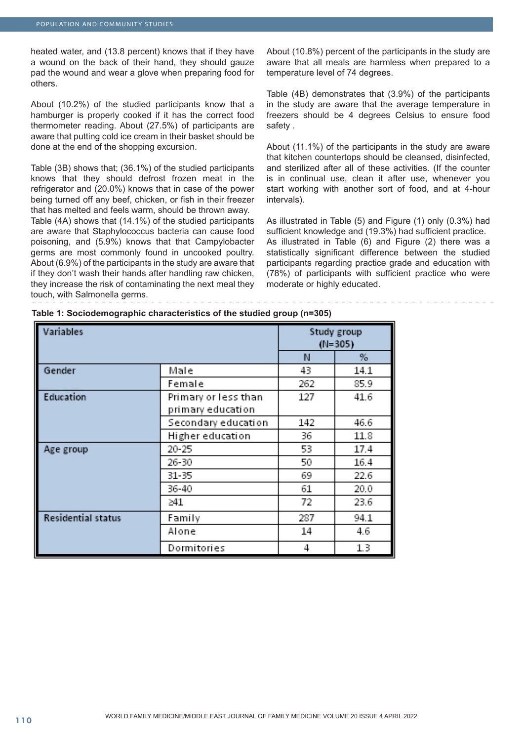heated water, and (13.8 percent) knows that if they have a wound on the back of their hand, they should gauze pad the wound and wear a glove when preparing food for others.

About (10.2%) of the studied participants know that a hamburger is properly cooked if it has the correct food thermometer reading. About (27.5%) of participants are aware that putting cold ice cream in their basket should be done at the end of the shopping excursion.

Table (3B) shows that; (36.1%) of the studied participants knows that they should defrost frozen meat in the refrigerator and (20.0%) knows that in case of the power being turned off any beef, chicken, or fish in their freezer that has melted and feels warm, should be thrown away.

Table (4A) shows that (14.1%) of the studied participants are aware that Staphylococcus bacteria can cause food poisoning, and (5.9%) knows that that Campylobacter germs are most commonly found in uncooked poultry. About (6.9%) of the participants in the study are aware that if they don't wash their hands after handling raw chicken, they increase the risk of contaminating the next meal they touch, with Salmonella germs.

About (10.8%) percent of the participants in the study are aware that all meals are harmless when prepared to a temperature level of 74 degrees.

Table (4B) demonstrates that (3.9%) of the participants in the study are aware that the average temperature in freezers should be 4 degrees Celsius to ensure food safety .

About (11.1%) of the participants in the study are aware that kitchen countertops should be cleansed, disinfected, and sterilized after all of these activities. (If the counter is in continual use, clean it after use, whenever you start working with another sort of food, and at 4-hour intervals).

As illustrated in Table (5) and Figure (1) only (0.3%) had sufficient knowledge and (19.3%) had sufficient practice. As illustrated in Table (6) and Figure (2) there was a statistically significant difference between the studied participants regarding practice grade and education with (78%) of participants with sufficient practice who were moderate or highly educated.

| Variables                 |                      |     | Study group<br>$(N=305)$ |
|---------------------------|----------------------|-----|--------------------------|
|                           |                      | N   | %                        |
| Gender                    | Male                 | 43  | 14.1                     |
|                           | Female               | 262 | 85.9                     |
| Education                 | Primary or less than | 127 | 41.6                     |
|                           | primary education    |     |                          |
|                           | Secondary education  | 142 | 46.6                     |
|                           | Higher education     | 36  | 11.8                     |
| Age group                 | 20-25                | 53  | 17.4                     |
|                           | 26-30                | 50  | 16.4                     |
|                           | 31-35                | 69  | 22.6                     |
|                           | 36-40                | 61  | 20.0                     |
|                           | ≥41                  | 72  | 23.6                     |
| <b>Residential status</b> | Family               | 287 | 94.1                     |
|                           | Alone                | 14  | 4.6                      |
|                           | Dormitories          | 4   | 1.3                      |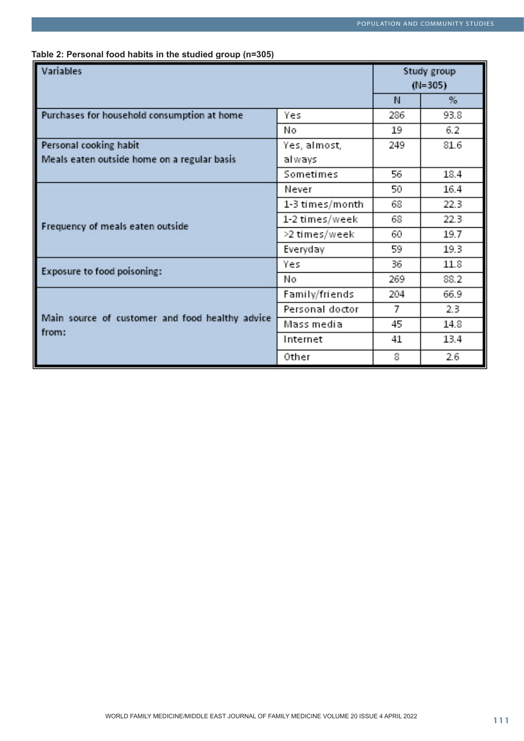| Table 2: Personal food habits in the studied group (n=305) |  |  |  |  |  |
|------------------------------------------------------------|--|--|--|--|--|
|------------------------------------------------------------|--|--|--|--|--|

| Variables                                       |                 | Study group<br>$(N=305)$ |      |
|-------------------------------------------------|-----------------|--------------------------|------|
|                                                 |                 | N                        | $\%$ |
| Purchases for household consumption at home     | Yes             | 286                      | 93.8 |
|                                                 | N٥              | 19                       | 6.2  |
| Personal cooking habit                          | Yes, almost,    | 249                      | 81.6 |
| Meals eaten outside home on a regular basis     | always          |                          |      |
|                                                 | Sometimes       | 56                       | 18.4 |
|                                                 | Never           | 50                       | 16.4 |
|                                                 | 1-3 times/month | 68                       | 22.3 |
| Frequency of meals eaten outside                | 1-2 times/week  | 68                       | 22.3 |
|                                                 | >2 times/week   | 60                       | 19.7 |
|                                                 | Everyday        | 59                       | 19.3 |
| Exposure to food poisoning:                     | Yes             | 36                       | 11.8 |
|                                                 | N٥              | 269                      | 88.2 |
|                                                 | Family/friends  | 204                      | 66.9 |
|                                                 | Personal doctor | 7                        | 2.3  |
| Main source of customer and food healthy advice | Mass media      | 45                       | 14.8 |
| from:                                           | Internet        | 41                       | 13.4 |
|                                                 | Other           | 8                        | 2.6  |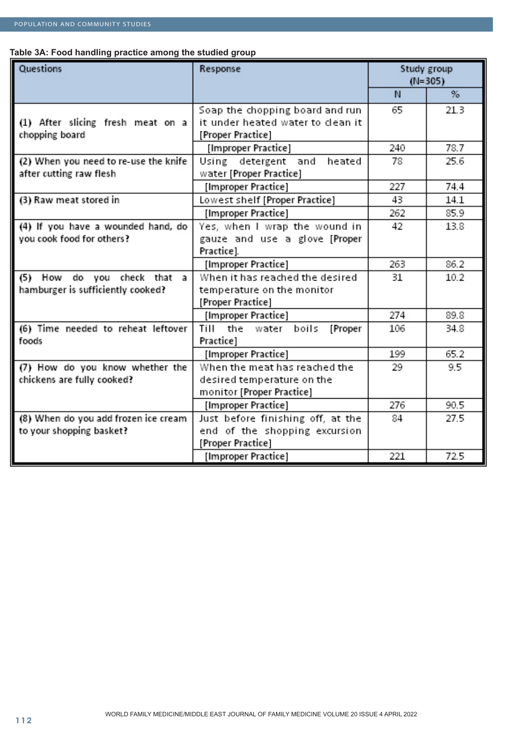# **Table 3A: Food handling practice among the studied group**

| Questions                                                        | Response                                                 |     | Study group<br>$(N=305)$ |
|------------------------------------------------------------------|----------------------------------------------------------|-----|--------------------------|
|                                                                  |                                                          | N   | $\%$                     |
|                                                                  | Soap the chopping board and run                          | 65  | 21.3                     |
| (1) After slicing fresh meat on a                                | it under heated water to clean it                        |     |                          |
| chopping board                                                   | [Proper Practice]                                        |     |                          |
|                                                                  | [Improper Practice]                                      | 240 | 78.7                     |
| (2) When you need to re-use the knife<br>after cutting raw flesh | Using detergent and<br>heated<br>water [Proper Practice] | 78  | 25.6                     |
|                                                                  | [Improper Practice]                                      | 227 | 74.4                     |
| (3) Raw meat stored in                                           | Lowest shelf [Proper Practice]                           | 43  | 14.1                     |
|                                                                  | [Improper Practice]                                      | 262 | 85.9                     |
| (4) If you have a wounded hand, do                               | Yes, when I wrap the wound in                            | 42  | 13.8                     |
| you cook food for others?                                        | gauze and use a glove [Proper                            |     |                          |
|                                                                  | Practice].                                               |     |                          |
|                                                                  | [Improper Practice]                                      | 263 | 86.2                     |
| do you check that<br>(5) How<br>a                                | When it has reached the desired                          | 31  | 10.2                     |
| hamburger is sufficiently cooked?                                | temperature on the monitor                               |     |                          |
|                                                                  | [Proper Practice]                                        |     |                          |
|                                                                  | [Improper Practice]                                      | 274 | 89.8                     |
| (6) Time needed to reheat leftover                               | Till the water boils<br>[Proper                          | 106 | 34.8                     |
| foods                                                            | Practice]                                                |     |                          |
|                                                                  | [Improper Practice]                                      | 199 | 65.2                     |
| (7) How do you know whether the                                  | When the meat has reached the                            | 29  | 9.5                      |
| chickens are fully cooked?                                       | desired temperature on the                               |     |                          |
|                                                                  | monitor [Proper Practice]                                |     |                          |
|                                                                  | [Improper Practice]                                      | 276 | 90.5                     |
| (8) When do you add frozen ice cream                             | Just before finishing off, at the                        | 84  | 27.5                     |
| to your shopping basket?                                         | end of the shopping excursion                            |     |                          |
|                                                                  | [Proper Practice]                                        |     |                          |
|                                                                  | [Improper Practice]                                      | 221 | 72.5                     |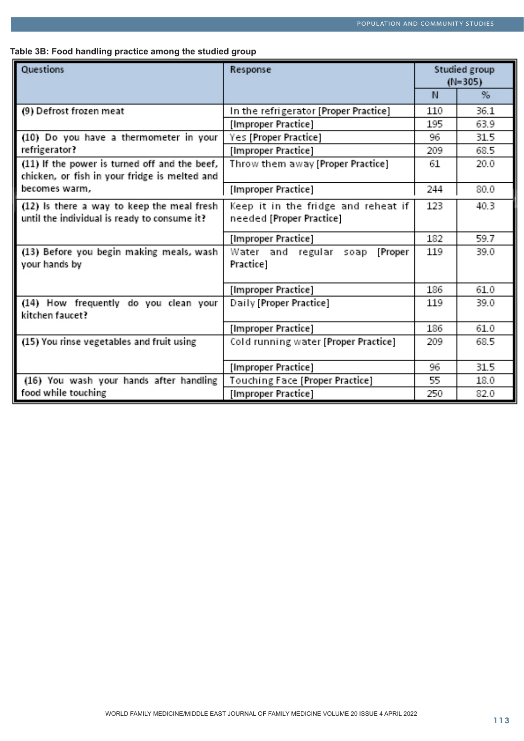**Table 3B: Food handling practice among the studied group**

| Questions                                                                                      | Response                                                        | Studied group<br>$(N=305)$ |      |  |
|------------------------------------------------------------------------------------------------|-----------------------------------------------------------------|----------------------------|------|--|
|                                                                                                |                                                                 | N.                         | %    |  |
| (9) Defrost frozen meat                                                                        | In the refrigerator [Proper Practice]                           | 110                        | 36.1 |  |
|                                                                                                | [Improper Practice]                                             | 195                        | 63.9 |  |
| (10) Do you have a thermometer in your                                                         | Yes [Proper Practice]                                           | 96                         | 31.5 |  |
| refrigerator?                                                                                  | [Improper Practice]                                             | 209                        | 68.5 |  |
| (11) If the power is turned off and the beef,<br>chicken, or fish in your fridge is melted and | Throw them away [Proper Practice]                               | 61                         | 20.0 |  |
| becomes warm,                                                                                  | [Improper Practice]                                             | 244                        | 80.0 |  |
| (12) Is there a way to keep the meal fresh<br>until the individual is ready to consume it?     | Keep it in the fridge and reheat if<br>needed [Proper Practice] | 123                        | 40.3 |  |
|                                                                                                | [Improper Practice]                                             | 182                        | 59.7 |  |
| (13) Before you begin making meals, wash<br>your hands by                                      | Water and regular soap<br>[Proper<br>Practice]                  | 119                        | 39.0 |  |
|                                                                                                | [Improper Practice]                                             | 186                        | 61.0 |  |
| (14) How frequently do you clean your<br>kitchen faucet?                                       | Daily [Proper Practice]                                         | 119                        | 39.0 |  |
|                                                                                                | [Improper Practice]                                             | 186                        | 61.0 |  |
| (15) You rinse vegetables and fruit using                                                      | Cold running water [Proper Practice]                            | 209                        | 68.5 |  |
|                                                                                                | [Improper Practice]                                             | 96                         | 31.5 |  |
| (16) You wash your hands after handling                                                        | Touching Face [Proper Practice]                                 | 55                         | 18.0 |  |
| food while touching                                                                            | [Improper Practice]                                             | 250                        | 82.0 |  |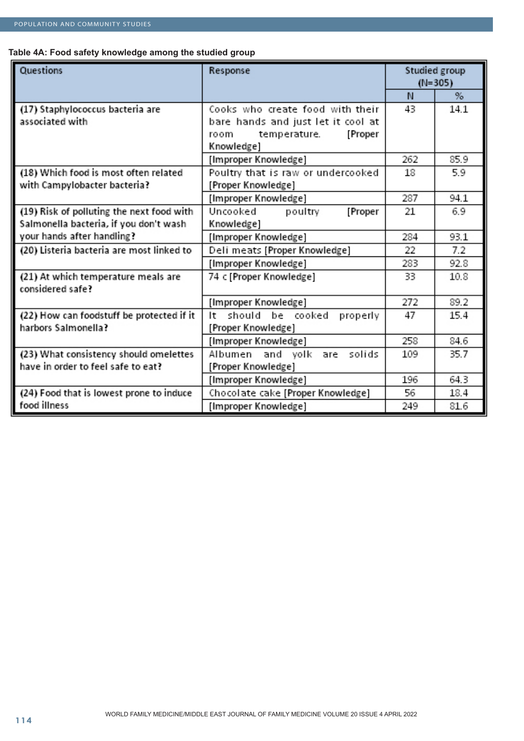# **Table 4A: Food safety knowledge among the studied group**

| Questions                                               | Response                                                              | Studied group<br>$(N=305)$ |      |
|---------------------------------------------------------|-----------------------------------------------------------------------|----------------------------|------|
|                                                         |                                                                       | N                          | %    |
| (17) Staphylococcus bacteria are<br>associated with     | Cooks who create food with their                                      | 43                         | 14.1 |
|                                                         | bare hands and just let it cool at<br>temperature.<br>[Proper<br>room |                            |      |
|                                                         | Knowledge]                                                            |                            |      |
|                                                         | [Improper Knowledge]                                                  | 262                        | 85.9 |
| (18) Which food is most often related                   | Poultry that is raw or undercooked                                    | 18                         | 5.9  |
| with Campylobacter bacteria?                            | [Proper Knowledge]                                                    |                            |      |
|                                                         | [Improper Knowledge]                                                  | 287                        | 94.1 |
| (19) Risk of polluting the next food with               | Uncooked<br>poultry<br>[Proper                                        | 21                         | 6.9  |
| Salmonella bacteria, if you don't wash                  | Knowledge]                                                            |                            |      |
| your hands after handling?                              | [Improper Knowledge]                                                  | 284                        | 93.1 |
| (20) Listeria bacteria are most linked to               | Deli meats [Proper Knowledge]                                         | 22                         | 7.2  |
|                                                         | [Improper Knowledge]                                                  | 283                        | 92.8 |
| (21) At which temperature meals are<br>considered safe? | 74 c [Proper Knowledge]                                               | 33                         | 10.8 |
|                                                         | [Improper Knowledge]                                                  | 272                        | 89.2 |
| (22) How can foodstuff be protected if it               | should be cooked<br>properly<br>It                                    | 47                         | 15.4 |
| harbors Salmonella?                                     | [Proper Knowledge]                                                    |                            |      |
|                                                         | [Improper Knowledge]                                                  | 258                        | 84.6 |
| (23) What consistency should omelettes                  | Albumen and volk are<br>solids                                        | 109                        | 35.7 |
| have in order to feel safe to eat?                      | [Proper Knowledge]                                                    |                            |      |
|                                                         | [Improper Knowledge]                                                  | 196                        | 64.3 |
| (24) Food that is lowest prone to induce                | Chocolate cake [Proper Knowledge]                                     | 56                         | 18.4 |
| food illness                                            | [Improper Knowledge]                                                  | 249                        | 81.6 |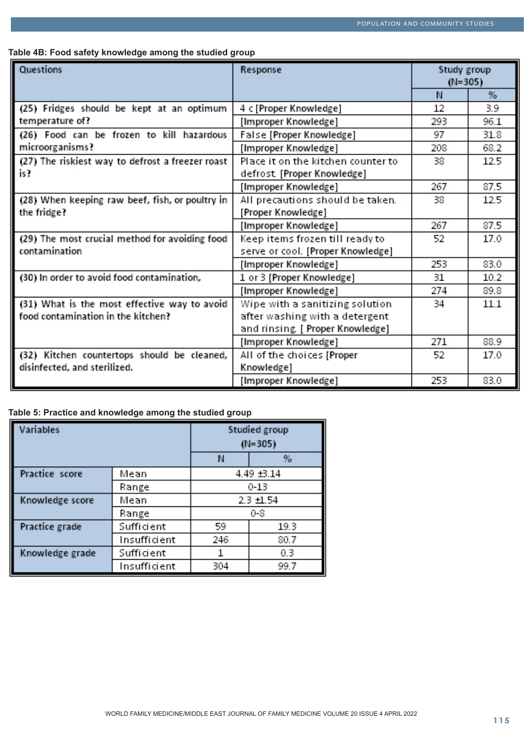## **Table 4B: Food safety knowledge among the studied group**

| Questions                                        | Response                           | Study group<br>$(N=305)$ |      |
|--------------------------------------------------|------------------------------------|--------------------------|------|
|                                                  |                                    | N                        | $\%$ |
| (25) Fridges should be kept at an optimum        | 4 c [Proper Knowledge]             | 12                       | 3.9  |
| temperature of?                                  | [Improper Knowledge]               | 293                      | 96.1 |
| (26) Food can be frozen to kill hazardous        | False [Proper Knowledge]           | 97                       | 31.8 |
| microorganisms?                                  | [Improper Knowledge]               | 208                      | 68.2 |
| (27) The riskiest way to defrost a freezer roast | Place it on the kitchen counter to | 38                       | 12.5 |
| is?                                              | defrost. [Proper Knowledge]        |                          |      |
|                                                  | [Improper Knowledge]               | 267                      | 87.5 |
| (28) When keeping raw beef, fish, or poultry in  | All precautions should be taken.   | 38                       | 12.5 |
| the fridge?                                      | [Proper Knowledge]                 |                          |      |
|                                                  | [Improper Knowledge]               | 267                      | 87.5 |
| (29) The most crucial method for avoiding food   | Keep items frozen till ready to    | 52                       | 17.0 |
| contamination                                    | serve or cool. [Proper Knowledge]  |                          |      |
|                                                  | [Improper Knowledge]               | 253                      | 83.0 |
| (30) In order to avoid food contamination,       | 1 or 3 [Proper Knowledge]          | 31                       | 10.2 |
|                                                  | [Improper Knowledge]               | 274                      | 89.8 |
| (31) What is the most effective way to avoid     | Wipe with a sanitizing solution    | 34                       | 11.1 |
| food contamination in the kitchen?               | after washing with a detergent     |                          |      |
|                                                  | and rinsing. [ Proper Knowledge]   |                          |      |
|                                                  | [Improper Knowledge]               | 271                      | 88.9 |
| (32) Kitchen countertops should be cleaned,      | All of the choices [Proper         | 52                       | 17.0 |
| disinfected, and sterilized.                     | Knowledge]                         |                          |      |
|                                                  | [Improper Knowledge]               | 253                      | 83.0 |

# **Table 5: Practice and knowledge among the studied group**

| Variables       |              | Studied group<br>$(N=305)$ |      |  |
|-----------------|--------------|----------------------------|------|--|
|                 |              | N                          | $\%$ |  |
| Practice score  | Mean         | 4.49 ±3.14                 |      |  |
|                 | Range        | $0 - 13$                   |      |  |
| Knowledge score | Mean         | $2.3 + 1.54$               |      |  |
|                 | Range        | 0-8                        |      |  |
| Practice grade  | Sufficient   | 59<br>19.3                 |      |  |
|                 | Insufficient | 246<br>80.7                |      |  |
| Knowledge grade | Sufficient   | 0.3                        |      |  |
|                 | Insufficient | 304<br>99.7                |      |  |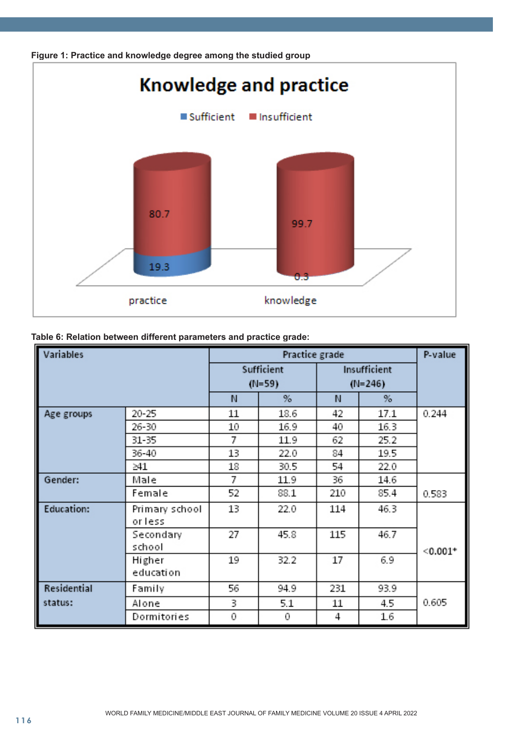



| Variables         |                          | Practice grade |          |           |              | P-value    |
|-------------------|--------------------------|----------------|----------|-----------|--------------|------------|
|                   |                          | Sufficient     |          |           | Insufficient |            |
|                   |                          |                | $(N=59)$ | $(N=246)$ |              |            |
|                   |                          | N              | $\%$     | N         | %            |            |
| Age groups        | 20-25                    | 11             | 18.6     | 42        | 17.1         | 0.244      |
|                   | 26-30                    | 10             | 16.9     | 40        | 16.3         |            |
|                   | 31-35                    | 7              | 11.9     | 62        | 25.2         |            |
|                   | 36-40                    | 13             | 22.0     | 84        | 19.5         |            |
|                   | >41                      | 18             | 30.5     | 54        | 22.0         |            |
| Gender:           | Male                     | 7              | 11.9     | 36        | 14.6         |            |
|                   | Female                   | 52             | 88.1     | 210       | 85.4         | 0.583      |
| <b>Education:</b> | Primary school<br>orless | 13             | 22.0     | 114       | 46.3         |            |
|                   | Secondary<br>school      | 27             | 45.8     | 115       | 46.7         | $< 0.001*$ |
|                   | Higher<br>education      | 19             | 32.2     | 17        | 6.9          |            |
| Residential       | Family                   | 56             | 94.9     | 231       | 93.9         |            |
| status:           | Alone                    | 3              | 5.1      | 11        | 4.5          | 0.605      |
|                   | Dormitories              | 0              | 0        | 4         | 1.6          |            |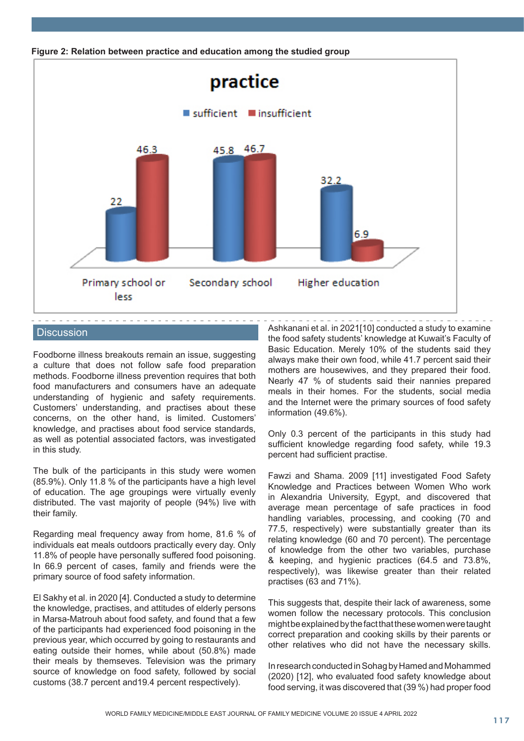

**Figure 2: Relation between practice and education among the studied group**

# **Discussion**

Foodborne illness breakouts remain an issue, suggesting a culture that does not follow safe food preparation methods. Foodborne illness prevention requires that both food manufacturers and consumers have an adequate understanding of hygienic and safety requirements. Customers' understanding, and practises about these concerns, on the other hand, is limited. Customers' knowledge, and practises about food service standards, as well as potential associated factors, was investigated in this study.

The bulk of the participants in this study were women (85.9%). Only 11.8 % of the participants have a high level of education. The age groupings were virtually evenly distributed. The vast majority of people (94%) live with their family.

Regarding meal frequency away from home, 81.6 % of individuals eat meals outdoors practically every day. Only 11.8% of people have personally suffered food poisoning. In 66.9 percent of cases, family and friends were the primary source of food safety information.

El Sakhy et al. in 2020 [4]. Conducted a study to determine the knowledge, practises, and attitudes of elderly persons in Marsa-Matrouh about food safety, and found that a few of the participants had experienced food poisoning in the previous year, which occurred by going to restaurants and eating outside their homes, while about (50.8%) made their meals by themseves. Television was the primary source of knowledge on food safety, followed by social customs (38.7 percent and19.4 percent respectively).

Ashkanani et al. in 2021[10] conducted a study to examine the food safety students' knowledge at Kuwait's Faculty of Basic Education. Merely 10% of the students said they always make their own food, while 41.7 percent said their mothers are housewives, and they prepared their food. Nearly 47 % of students said their nannies prepared meals in their homes. For the students, social media and the Internet were the primary sources of food safety information (49.6%).

Only 0.3 percent of the participants in this study had sufficient knowledge regarding food safety, while 19.3 percent had sufficient practise.

Fawzi and Shama. 2009 [11] investigated Food Safety Knowledge and Practices between Women Who work in Alexandria University, Egypt, and discovered that average mean percentage of safe practices in food handling variables, processing, and cooking (70 and 77.5, respectively) were substantially greater than its relating knowledge (60 and 70 percent). The percentage of knowledge from the other two variables, purchase & keeping, and hygienic practices (64.5 and 73.8%, respectively), was likewise greater than their related practises (63 and 71%).

This suggests that, despite their lack of awareness, some women follow the necessary protocols. This conclusion might be explained by the fact that these women were taught correct preparation and cooking skills by their parents or other relatives who did not have the necessary skills.

In research conducted in Sohag by Hamed and Mohammed (2020) [12], who evaluated food safety knowledge about food serving, it was discovered that (39 %) had proper food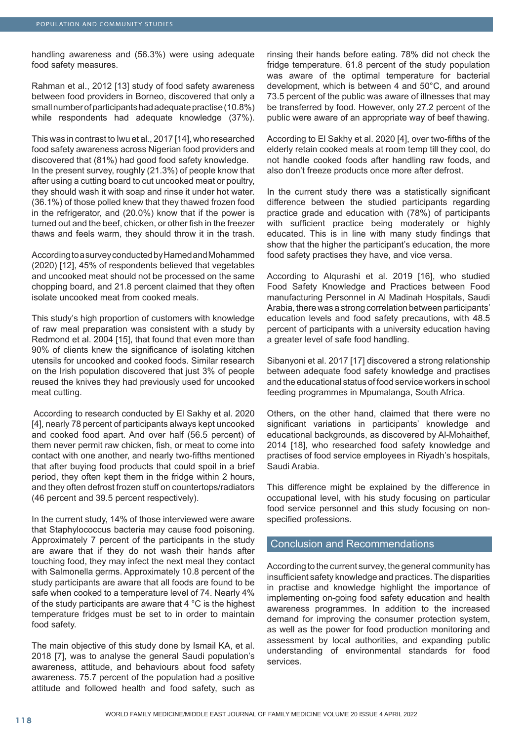handling awareness and (56.3%) were using adequate food safety measures.

Rahman et al., 2012 [13] study of food safety awareness between food providers in Borneo, discovered that only a small number of participants had adequate practise (10.8%) while respondents had adequate knowledge (37%).

This was in contrast to Iwu et al., 2017 [14], who researched food safety awareness across Nigerian food providers and discovered that (81%) had good food safety knowledge. In the present survey, roughly (21.3%) of people know that after using a cutting board to cut uncooked meat or poultry, they should wash it with soap and rinse it under hot water. (36.1%) of those polled knew that they thawed frozen food in the refrigerator, and (20.0%) know that if the power is turned out and the beef, chicken, or other fish in the freezer thaws and feels warm, they should throw it in the trash.

According to a survey conducted by Hamed and Mohammed (2020) [12], 45% of respondents believed that vegetables and uncooked meat should not be processed on the same chopping board, and 21.8 percent claimed that they often isolate uncooked meat from cooked meals.

This study's high proportion of customers with knowledge of raw meal preparation was consistent with a study by Redmond et al. 2004 [15], that found that even more than 90% of clients knew the significance of isolating kitchen utensils for uncooked and cooked foods. Similar research on the Irish population discovered that just 3% of people reused the knives they had previously used for uncooked meat cutting.

 According to research conducted by El Sakhy et al. 2020 [4], nearly 78 percent of participants always kept uncooked and cooked food apart. And over half (56.5 percent) of them never permit raw chicken, fish, or meat to come into contact with one another, and nearly two-fifths mentioned that after buying food products that could spoil in a brief period, they often kept them in the fridge within 2 hours, and they often defrost frozen stuff on countertops/radiators (46 percent and 39.5 percent respectively).

In the current study, 14% of those interviewed were aware that Staphylococcus bacteria may cause food poisoning. Approximately 7 percent of the participants in the study are aware that if they do not wash their hands after touching food, they may infect the next meal they contact with Salmonella germs. Approximately 10.8 percent of the study participants are aware that all foods are found to be safe when cooked to a temperature level of 74. Nearly 4% of the study participants are aware that 4 °C is the highest temperature fridges must be set to in order to maintain food safety.

The main objective of this study done by Ismail KA, et al. 2018 [7], was to analyse the general Saudi population's awareness, attitude, and behaviours about food safety awareness. 75.7 percent of the population had a positive attitude and followed health and food safety, such as rinsing their hands before eating. 78% did not check the fridge temperature. 61.8 percent of the study population was aware of the optimal temperature for bacterial development, which is between 4 and 50°C, and around 73.5 percent of the public was aware of illnesses that may be transferred by food. However, only 27.2 percent of the public were aware of an appropriate way of beef thawing.

According to El Sakhy et al. 2020 [4], over two-fifths of the elderly retain cooked meals at room temp till they cool, do not handle cooked foods after handling raw foods, and also don't freeze products once more after defrost.

In the current study there was a statistically significant difference between the studied participants regarding practice grade and education with (78%) of participants with sufficient practice being moderately or highly educated. This is in line with many study findings that show that the higher the participant's education, the more food safety practises they have, and vice versa.

According to Alqurashi et al. 2019 [16], who studied Food Safety Knowledge and Practices between Food manufacturing Personnel in Al Madinah Hospitals, Saudi Arabia, there was a strong correlation between participants' education levels and food safety precautions, with 48.5 percent of participants with a university education having a greater level of safe food handling.

Sibanyoni et al. 2017 [17] discovered a strong relationship between adequate food safety knowledge and practises and the educational status of food service workers in school feeding programmes in Mpumalanga, South Africa.

Others, on the other hand, claimed that there were no significant variations in participants' knowledge and educational backgrounds, as discovered by Al-Mohaithef, 2014 [18], who researched food safety knowledge and practises of food service employees in Riyadh's hospitals, Saudi Arabia.

This difference might be explained by the difference in occupational level, with his study focusing on particular food service personnel and this study focusing on nonspecified professions.

# Conclusion and Recommendations

According to the current survey, the general community has insufficient safety knowledge and practices. The disparities in practise and knowledge highlight the importance of implementing on-going food safety education and health awareness programmes. In addition to the increased demand for improving the consumer protection system, as well as the power for food production monitoring and assessment by local authorities, and expanding public understanding of environmental standards for food services.